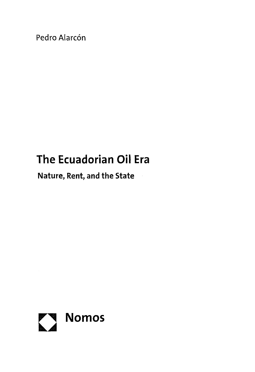Pedro Alarcón

## **The Ecuadorian Oil Era**

**Nature, Rent, and the State**

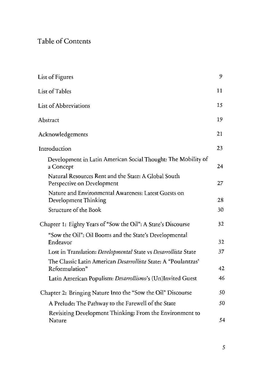## Table of Contents

| List of Figures                                                                    | 9  |
|------------------------------------------------------------------------------------|----|
| List of Tables                                                                     | 11 |
| List of Abbreviations                                                              | 15 |
| Abstract                                                                           | 19 |
| Acknowledgements                                                                   | 21 |
| Introduction                                                                       | 23 |
| Development in Latin American Social Thought: The Mobility of<br>a Concept         | 24 |
| Natural Resources Rent and the State: A Global South<br>Perspective on Development | 27 |
| Nature and Environmental Awareness: Latest Guests on<br>Development Thinking       | 28 |
| Structure of the Book                                                              | 30 |
| Chapter 1: Eighty Years of "Sow the Oil": A State's Discourse                      | 32 |
| "Sow the Oil": Oil Booms and the State's Developmental<br>Endeavor                 | 32 |
| Lost in Translation: Developmental State vs Desarrollista State                    | 37 |
| The Classic Latin American Desarrollista State: A "Poulantzas"<br>Reformulation"   | 42 |
| Latin American Populism: Desarrollismo's (Un)Invited Guest                         | 46 |
| Chapter 2: Bringing Nature Into the "Sow the Oil" Discourse                        | 50 |
| A Prelude: The Pathway to the Farewell of the State                                | 50 |
| Revisiting Development Thinking: From the Environment to<br>Nature                 | 54 |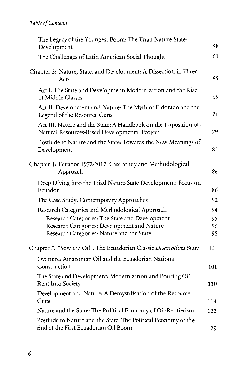| The Legacy of the Youngest Boom: The Triad Nature-State-<br>Development                                           | 58  |
|-------------------------------------------------------------------------------------------------------------------|-----|
| The Challenges of Latin American Social Thought                                                                   | 61  |
| Chapter 3: Nature, State, and Development: A Dissection in Three<br>Acts                                          | 65  |
| Act I. The State and Development: Modernization and the Rise<br>of Middle Classes                                 | 65  |
| Act II. Development and Nature: The Myth of Eldorado and the<br>Legend of the Resource Curse                      | 71  |
| Act III. Nature and the State: A Handbook on the Imposition of a<br>Natural Resources-Based Developmental Project | 79  |
| Postlude to Nature and the State: Towards the New Meanings of<br>Development                                      | 83  |
| Chapter 4: Ecuador 1972-2017: Case Study and Methodological<br>Approach                                           | 86  |
| Deep Diving into the Triad Nature-State-Development: Focus on<br>Ecuador                                          | 86  |
| The Case Study: Contemporary Approaches                                                                           | 92  |
| Research Categories and Methodological Approach                                                                   | 94  |
| Research Categories: The State and Development                                                                    | 95  |
| Research Categories: Development and Nature                                                                       | 96  |
| Research Categories: Nature and the State                                                                         | 98  |
| Chapter 5: "Sow the Oil": The Ecuadorian Classic Desarrollista State                                              | 101 |
| Overture: Amazonian Oil and the Ecuadorian National<br>Construction                                               | 101 |
| The State and Development: Modernization and Pouring Oil<br>Rent Into Society                                     | 110 |
| Development and Nature: A Demystification of the Resource<br>Curse                                                | 114 |
| Nature and the State: The Political Economy of Oil-Rentierism                                                     | 122 |
| Postlude to Nature and the State: The Political Economy of the<br>End of the First Ecuadorian Oil Boom            | 129 |